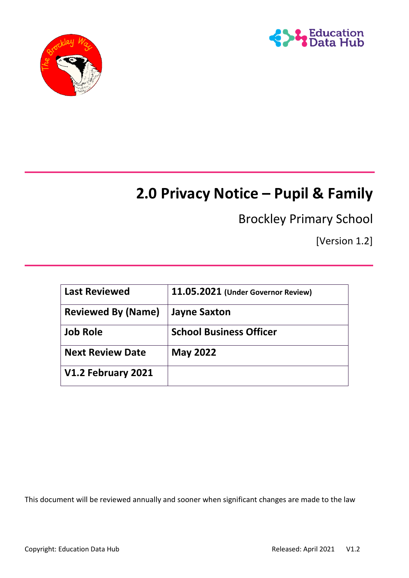



# **2.0 Privacy Notice – Pupil & Family**

# Brockley Primary School

[Version 1.2]

| <b>Last Reviewed</b>      | 11.05.2021 (Under Governor Review) |
|---------------------------|------------------------------------|
| <b>Reviewed By (Name)</b> | <b>Jayne Saxton</b>                |
| <b>Job Role</b>           | <b>School Business Officer</b>     |
| <b>Next Review Date</b>   | <b>May 2022</b>                    |
| V1.2 February 2021        |                                    |

This document will be reviewed annually and sooner when significant changes are made to the law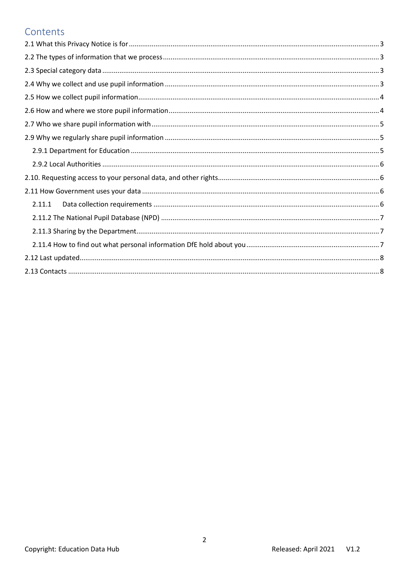### Contents

| 2.11.1 |
|--------|
|        |
|        |
|        |
|        |
|        |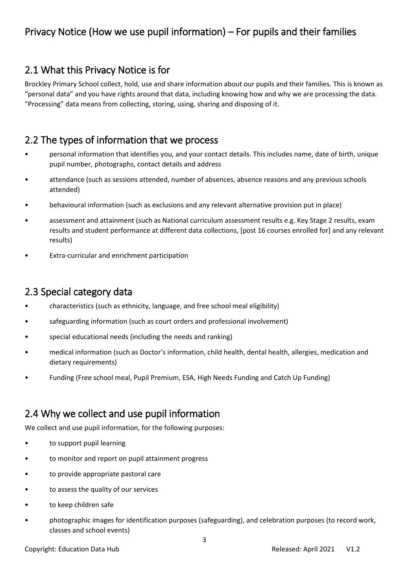# Privacy Notice (How we use pupil information) – For pupils and their families

# <span id="page-2-0"></span>2.1 What this Privacy Notice is for

Brockley Primary School collect, hold, use and share information about our pupils and their families. This is known as "personal data" and you have rights around that data, including knowing how and why we are processing the data. "Processing" data means from collecting, storing, using, sharing and disposing of it.

# <span id="page-2-1"></span>2.2 The types of information that we process

- personal information that identifies you, and your contact details. This includes name, date of birth, unique pupil number, photographs, contact details and address
- attendance (such as sessions attended, number of absences, absence reasons and any previous schools attended)
- behavioural information (such as exclusions and any relevant alternative provision put in place)
- assessment and attainment (such as National curriculum assessment results e.g. Key Stage 2 results, exam results and student performance at different data collections, [post 16 courses enrolled for] and any relevant results)
- Extra-curricular and enrichment participation

# <span id="page-2-2"></span>2.3 Special category data

- characteristics (such as ethnicity, language, and free school meal eligibility)
- safeguarding information (such as court orders and professional involvement)
- special educational needs (including the needs and ranking)
- medical information (such as Doctor's information, child health, dental health, allergies, medication and dietary requirements)
- Funding (Free school meal, Pupil Premium, ESA, High Needs Funding and Catch Up Funding)

# <span id="page-2-3"></span>2.4 Why we collect and use pupil information

We collect and use pupil information, for the following purposes:

- to support pupil learning
- to monitor and report on pupil attainment progress
- to provide appropriate pastoral care
- to assess the quality of our services
- to keep children safe
- photographic images for identification purposes (safeguarding), and celebration purposes (to record work, classes and school events)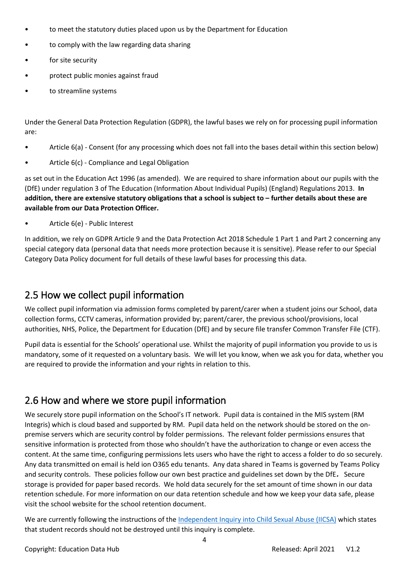- to meet the statutory duties placed upon us by the Department for Education
- to comply with the law regarding data sharing
- for site security
- protect public monies against fraud
- to streamline systems

Under the General Data Protection Regulation (GDPR), the lawful bases we rely on for processing pupil information are:

- Article 6(a) Consent (for any processing which does not fall into the bases detail within this section below)
- Article 6(c) Compliance and Legal Obligation

as set out in the Education Act 1996 (as amended). We are required to share information about our pupils with the (DfE) under regulation 3 of The Education (Information About Individual Pupils) (England) Regulations 2013. **In addition, there are extensive statutory obligations that a school is subject to – further details about these are available from our Data Protection Officer.**

• Article 6(e) - Public Interest

In addition, we rely on GDPR Article 9 and the Data Protection Act 2018 Schedule 1 Part 1 and Part 2 concerning any special category data (personal data that needs more protection because it is sensitive). Please refer to our Special Category Data Policy document for full details of these lawful bases for processing this data.

# <span id="page-3-0"></span>2.5 How we collect pupil information

We collect pupil information via admission forms completed by parent/carer when a student joins our School, data collection forms, CCTV cameras, information provided by; parent/carer, the previous school/provisions, local authorities, NHS, Police, the Department for Education (DfE) and by secure file transfer Common Transfer File (CTF).

Pupil data is essential for the Schools' operational use. Whilst the majority of pupil information you provide to us is mandatory, some of it requested on a voluntary basis. We will let you know, when we ask you for data, whether you are required to provide the information and your rights in relation to this.

# <span id="page-3-1"></span>2.6 How and where we store pupil information

We securely store pupil information on the School's IT network. Pupil data is contained in the MIS system (RM Integris) which is cloud based and supported by RM. Pupil data held on the network should be stored on the onpremise servers which are security control by folder permissions. The relevant folder permissions ensures that sensitive information is protected from those who shouldn't have the authorization to change or even access the content. At the same time, configuring permissions lets users who have the right to access a folder to do so securely. Any data transmitted on email is held ion O365 edu tenants. Any data shared in Teams is governed by Teams Policy and security controls. These policies follow our own best practice and guidelines set down by the DfE**.** Secure storage is provided for paper based records. We hold data securely for the set amount of time shown in our data retention schedule. For more information on our data retention schedule and how we keep your data safe, please visit the school website for the school retention document.

We are currently following the instructions of the [Independent Inquiry into Child Sexual Abuse \(IICSA\)](https://www.iicsa.org.uk/document/guidance-note-retention-instructions-and-data-protection-requirements) which states that student records should not be destroyed until this inquiry is complete.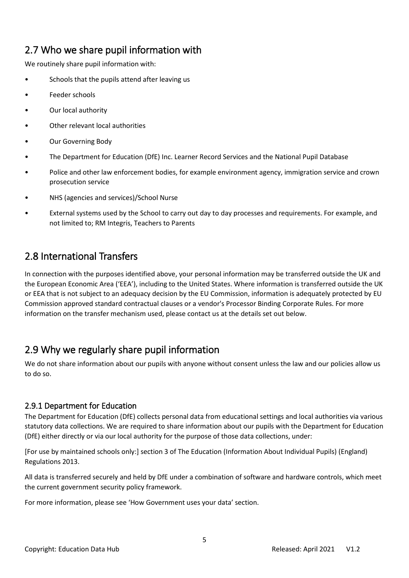# <span id="page-4-0"></span>2.7 Who we share pupil information with

We routinely share pupil information with:

- Schools that the pupils attend after leaving us
- Feeder schools
- Our local authority
- Other relevant local authorities
- Our Governing Body
- The Department for Education (DfE) Inc. Learner Record Services and the National Pupil Database
- Police and other law enforcement bodies, for example environment agency, immigration service and crown prosecution service
- NHS (agencies and services)/School Nurse
- External systems used by the School to carry out day to day processes and requirements. For example, and not limited to; RM Integris, Teachers to Parents

# 2.8 International Transfers

In connection with the purposes identified above, your personal information may be transferred outside the UK and the European Economic Area ('EEA'), including to the United States. Where information is transferred outside the UK or EEA that is not subject to an adequacy decision by the EU Commission, information is adequately protected by EU Commission approved standard contractual clauses or a vendor's Processor Binding Corporate Rules. For more information on the transfer mechanism used, please contact us at the details set out below.

# <span id="page-4-1"></span>2.9 Why we regularly share pupil information

We do not share information about our pupils with anyone without consent unless the law and our policies allow us to do so.

#### <span id="page-4-2"></span>2.9.1 Department for Education

The Department for Education (DfE) collects personal data from educational settings and local authorities via various statutory data collections. We are required to share information about our pupils with the Department for Education (DfE) either directly or via our local authority for the purpose of those data collections, under:

[For use by maintained schools only:] section 3 of The Education (Information About Individual Pupils) (England) Regulations 2013.

All data is transferred securely and held by DfE under a combination of software and hardware controls, which meet the current government security policy framework.

For more information, please see 'How Government uses your data' section.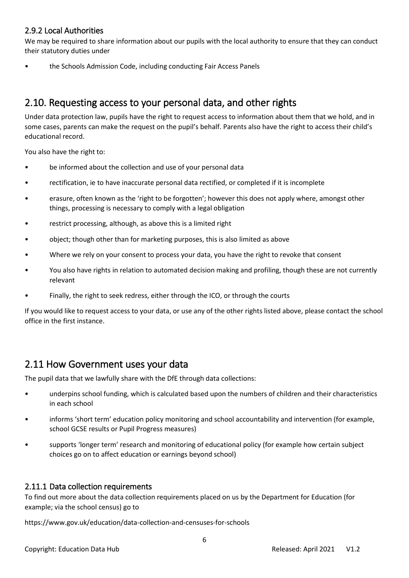#### <span id="page-5-0"></span>2.9.2 Local Authorities

We may be required to share information about our pupils with the local authority to ensure that they can conduct their statutory duties under

• the Schools Admission Code, including conducting Fair Access Panels

### <span id="page-5-1"></span>2.10. Requesting access to your personal data, and other rights

Under data protection law, pupils have the right to request access to information about them that we hold, and in some cases, parents can make the request on the pupil's behalf. Parents also have the right to access their child's educational record.

You also have the right to:

- be informed about the collection and use of your personal data
- rectification, ie to have inaccurate personal data rectified, or completed if it is incomplete
- erasure, often known as the 'right to be forgotten'; however this does not apply where, amongst other things, processing is necessary to comply with a legal obligation
- restrict processing, although, as above this is a limited right
- object; though other than for marketing purposes, this is also limited as above
- Where we rely on your consent to process your data, you have the right to revoke that consent
- You also have rights in relation to automated decision making and profiling, though these are not currently relevant
- Finally, the right to seek redress, either through the ICO, or through the courts

If you would like to request access to your data, or use any of the other rights listed above, please contact the school office in the first instance.

### <span id="page-5-2"></span>2.11 How Government uses your data

The pupil data that we lawfully share with the DfE through data collections:

- underpins school funding, which is calculated based upon the numbers of children and their characteristics in each school
- informs 'short term' education policy monitoring and school accountability and intervention (for example, school GCSE results or Pupil Progress measures)
- supports 'longer term' research and monitoring of educational policy (for example how certain subject choices go on to affect education or earnings beyond school)

#### <span id="page-5-3"></span>2.11.1 Data collection requirements

To find out more about the data collection requirements placed on us by the Department for Education (for example; via the school census) go to

https://www.gov.uk/education/data-collection-and-censuses-for-schools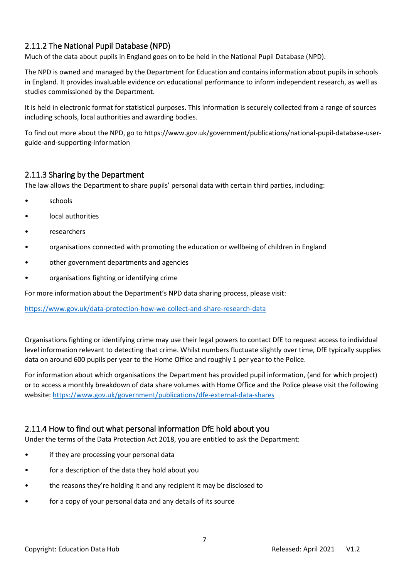#### <span id="page-6-0"></span>2.11.2 The National Pupil Database (NPD)

Much of the data about pupils in England goes on to be held in the National Pupil Database (NPD).

The NPD is owned and managed by the Department for Education and contains information about pupils in schools in England. It provides invaluable evidence on educational performance to inform independent research, as well as studies commissioned by the Department.

It is held in electronic format for statistical purposes. This information is securely collected from a range of sources including schools, local authorities and awarding bodies.

To find out more about the NPD, go to https://www.gov.uk/government/publications/national-pupil-database-userguide-and-supporting-information

#### <span id="page-6-1"></span>2.11.3 Sharing by the Department

The law allows the Department to share pupils' personal data with certain third parties, including:

- schools
- local authorities
- researchers
- organisations connected with promoting the education or wellbeing of children in England
- other government departments and agencies
- organisations fighting or identifying crime

For more information about the Department's NPD data sharing process, please visit:

<https://www.gov.uk/data-protection-how-we-collect-and-share-research-data>

Organisations fighting or identifying crime may use their legal powers to contact DfE to request access to individual level information relevant to detecting that crime. Whilst numbers fluctuate slightly over time, DfE typically supplies data on around 600 pupils per year to the Home Office and roughly 1 per year to the Police.

For information about which organisations the Department has provided pupil information, (and for which project) or to access a monthly breakdown of data share volumes with Home Office and the Police please visit the following website[: https://www.gov.uk/government/publications/dfe-external-data-shares](https://www.gov.uk/government/publications/dfe-external-data-shares)

#### <span id="page-6-2"></span>2.11.4 How to find out what personal information DfE hold about you

Under the terms of the Data Protection Act 2018, you are entitled to ask the Department:

- if they are processing your personal data
- for a description of the data they hold about you
- the reasons they're holding it and any recipient it may be disclosed to
- for a copy of your personal data and any details of its source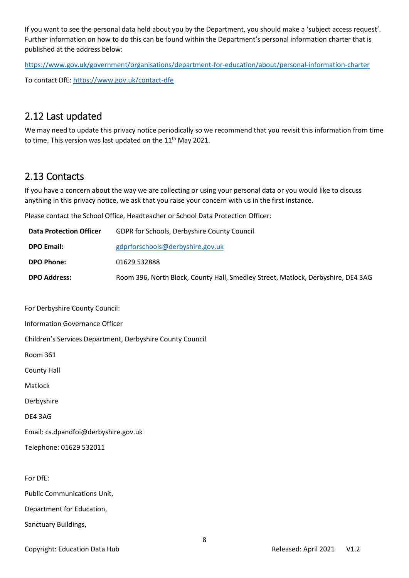If you want to see the personal data held about you by the Department, you should make a 'subject access request'. Further information on how to do this can be found within the Department's personal information charter that is published at the address below:

https://www.gov.uk/government/organisations/department-for-education/about/personal-information-charter

To contact DfE: https://www.gov.uk/contact-dfe

### <span id="page-7-0"></span>2.12 Last updated

We may need to update this privacy notice periodically so we recommend that you revisit this information from time to time. This version was last updated on the  $11<sup>th</sup>$  May 2021.

# <span id="page-7-1"></span>2.13 Contacts

If you have a concern about the way we are collecting or using your personal data or you would like to discuss anything in this privacy notice, we ask that you raise your concern with us in the first instance.

Please contact the School Office, Headteacher or School Data Protection Officer:

| <b>Data Protection Officer</b> | <b>GDPR for Schools, Derbyshire County Council</b>                               |
|--------------------------------|----------------------------------------------------------------------------------|
| <b>DPO Email:</b>              | gdprforschools@derbyshire.gov.uk                                                 |
| <b>DPO Phone:</b>              | 01629 532888                                                                     |
| <b>DPO Address:</b>            | Room 396, North Block, County Hall, Smedley Street, Matlock, Derbyshire, DE4 3AG |

8 For Derbyshire County Council: Information Governance Officer Children's Services Department, Derbyshire County Council Room 361 County Hall Matlock Derbyshire DE4 3AG Email: cs.dpandfoi@derbyshire.gov.uk Telephone: 01629 532011 For DfE: Public Communications Unit, Department for Education, Sanctuary Buildings,

Copyright: Education Data Hub **Released: April 2021** V1.2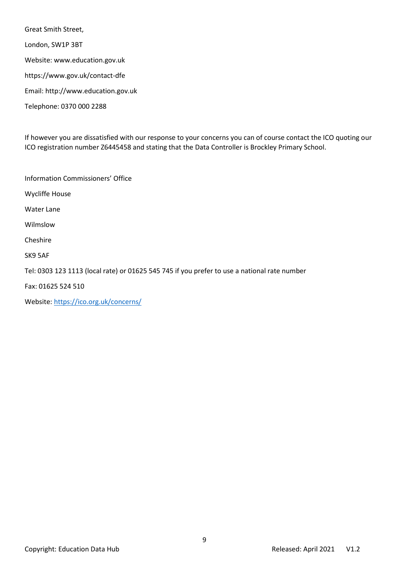Great Smith Street, London, SW1P 3BT Website: www.education.gov.uk https://www.gov.uk/contact-dfe Email: http://www.education.gov.uk Telephone: 0370 000 2288

If however you are dissatisfied with our response to your concerns you can of course contact the ICO quoting our ICO registration number Z6445458 and stating that the Data Controller is Brockley Primary School.

Information Commissioners' Office

Wycliffe House

Water Lane

Wilmslow

Cheshire

SK9 5AF

Tel: 0303 123 1113 (local rate) or 01625 545 745 if you prefer to use a national rate number

Fax: 01625 524 510

Website[: https://ico.org.uk/concerns/](https://ico.org.uk/concerns/)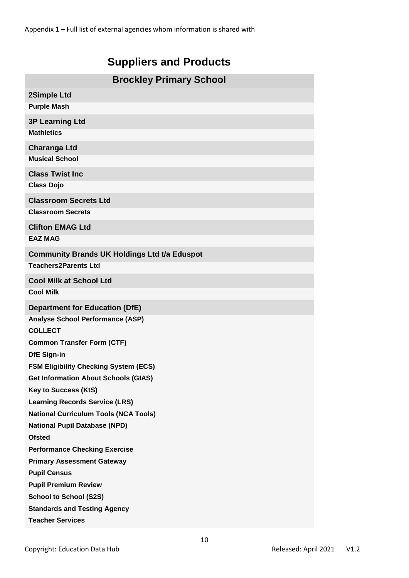# **Suppliers and Products**

| <b>Brockley Primary School</b>                                       |  |  |
|----------------------------------------------------------------------|--|--|
| 2Simple Ltd                                                          |  |  |
| <b>Purple Mash</b>                                                   |  |  |
| <b>3P Learning Ltd</b>                                               |  |  |
| <b>Mathletics</b>                                                    |  |  |
| <b>Charanga Ltd</b>                                                  |  |  |
| <b>Musical School</b>                                                |  |  |
| <b>Class Twist Inc</b>                                               |  |  |
| <b>Class Dojo</b>                                                    |  |  |
| <b>Classroom Secrets Ltd</b>                                         |  |  |
| <b>Classroom Secrets</b>                                             |  |  |
| <b>Clifton EMAG Ltd</b>                                              |  |  |
| <b>EAZ MAG</b>                                                       |  |  |
| <b>Community Brands UK Holdings Ltd t/a Eduspot</b>                  |  |  |
| <b>Teachers2Parents Ltd</b>                                          |  |  |
| <b>Cool Milk at School Ltd</b>                                       |  |  |
| <b>Cool Milk</b>                                                     |  |  |
| <b>Department for Education (DfE)</b>                                |  |  |
| <b>Analyse School Performance (ASP)</b>                              |  |  |
| <b>COLLECT</b>                                                       |  |  |
| <b>Common Transfer Form (CTF)</b>                                    |  |  |
| <b>DfE Sign-in</b>                                                   |  |  |
| <b>FSM Eligibility Checking System (ECS)</b>                         |  |  |
| <b>Get Information About Schools (GIAS)</b>                          |  |  |
| <b>Key to Success (KtS)</b><br><b>Learning Records Service (LRS)</b> |  |  |
| <b>National Curriculum Tools (NCA Tools)</b>                         |  |  |
| <b>National Pupil Database (NPD)</b>                                 |  |  |
| <b>Ofsted</b>                                                        |  |  |
| <b>Performance Checking Exercise</b>                                 |  |  |
| <b>Primary Assessment Gateway</b>                                    |  |  |
| <b>Pupil Census</b>                                                  |  |  |
| <b>Pupil Premium Review</b>                                          |  |  |
| <b>School to School (S2S)</b>                                        |  |  |
| <b>Standards and Testing Agency</b>                                  |  |  |
| <b>Teacher Services</b>                                              |  |  |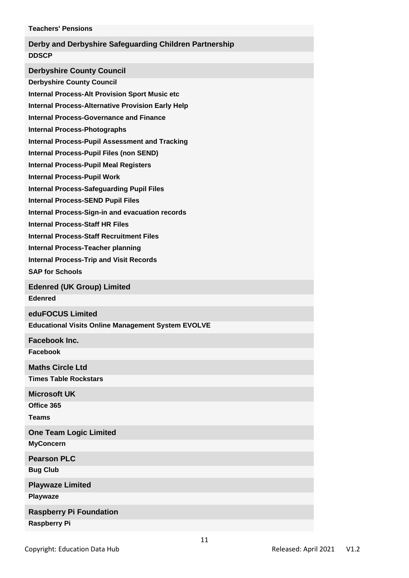| <b>Teachers' Pensions</b>                                                                                                                                                                                                                                                                                                                                                                                                                                                                                                                                                                                                                                                 |
|---------------------------------------------------------------------------------------------------------------------------------------------------------------------------------------------------------------------------------------------------------------------------------------------------------------------------------------------------------------------------------------------------------------------------------------------------------------------------------------------------------------------------------------------------------------------------------------------------------------------------------------------------------------------------|
| Derby and Derbyshire Safeguarding Children Partnership<br><b>DDSCP</b>                                                                                                                                                                                                                                                                                                                                                                                                                                                                                                                                                                                                    |
| <b>Derbyshire County Council</b><br><b>Derbyshire County Council</b><br><b>Internal Process-Alt Provision Sport Music etc</b><br><b>Internal Process-Alternative Provision Early Help</b><br><b>Internal Process-Governance and Finance</b><br><b>Internal Process-Photographs</b><br><b>Internal Process-Pupil Assessment and Tracking</b><br>Internal Process-Pupil Files (non SEND)<br><b>Internal Process-Pupil Meal Registers</b><br><b>Internal Process-Pupil Work</b><br><b>Internal Process-Safeguarding Pupil Files</b><br><b>Internal Process-SEND Pupil Files</b><br>Internal Process-Sign-in and evacuation records<br><b>Internal Process-Staff HR Files</b> |
| <b>Internal Process-Staff Recruitment Files</b><br><b>Internal Process-Teacher planning</b><br><b>Internal Process-Trip and Visit Records</b><br><b>SAP for Schools</b>                                                                                                                                                                                                                                                                                                                                                                                                                                                                                                   |
| <b>Edenred (UK Group) Limited</b><br><b>Edenred</b>                                                                                                                                                                                                                                                                                                                                                                                                                                                                                                                                                                                                                       |
| eduFOCUS Limited<br><b>Educational Visits Online Management System EVOLVE</b>                                                                                                                                                                                                                                                                                                                                                                                                                                                                                                                                                                                             |
| Facebook Inc.<br>Facebook                                                                                                                                                                                                                                                                                                                                                                                                                                                                                                                                                                                                                                                 |
| <b>Maths Circle Ltd</b><br><b>Times Table Rockstars</b>                                                                                                                                                                                                                                                                                                                                                                                                                                                                                                                                                                                                                   |
| <b>Microsoft UK</b><br>Office 365<br><b>Teams</b>                                                                                                                                                                                                                                                                                                                                                                                                                                                                                                                                                                                                                         |
| <b>One Team Logic Limited</b><br><b>MyConcern</b>                                                                                                                                                                                                                                                                                                                                                                                                                                                                                                                                                                                                                         |
| <b>Pearson PLC</b><br><b>Bug Club</b><br><b>Playwaze Limited</b>                                                                                                                                                                                                                                                                                                                                                                                                                                                                                                                                                                                                          |
| Playwaze<br><b>Raspberry Pi Foundation</b><br><b>Raspberry Pi</b>                                                                                                                                                                                                                                                                                                                                                                                                                                                                                                                                                                                                         |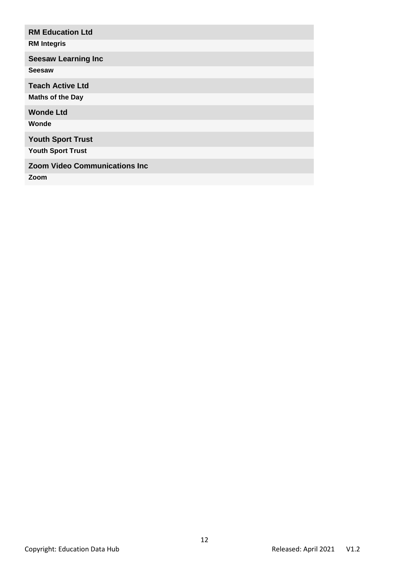# **RM Education Ltd RM Integris Seesaw Learning Inc Seesaw Teach Active Ltd Maths of the Day Wonde Ltd Wonde Youth Sport Trust Youth Sport Trust Zoom Video Communications Inc Zoom**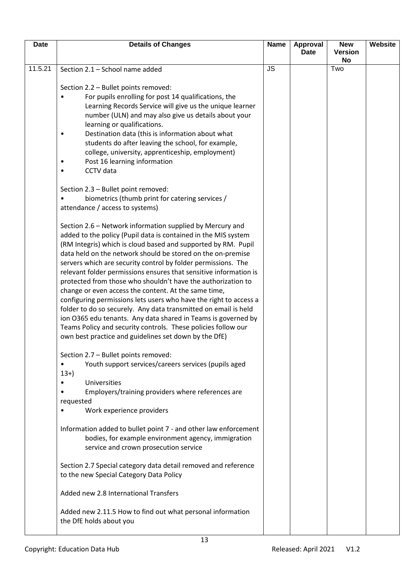| <b>Date</b> | <b>Details of Changes</b>                                                                                                                                                                                                                                                                                                                                                                                                                                                                                                                                                                                                                                                                                                                                                                                                                                                                            | <b>Name</b> | <b>Approval</b> | <b>New</b>           | Website |
|-------------|------------------------------------------------------------------------------------------------------------------------------------------------------------------------------------------------------------------------------------------------------------------------------------------------------------------------------------------------------------------------------------------------------------------------------------------------------------------------------------------------------------------------------------------------------------------------------------------------------------------------------------------------------------------------------------------------------------------------------------------------------------------------------------------------------------------------------------------------------------------------------------------------------|-------------|-----------------|----------------------|---------|
|             |                                                                                                                                                                                                                                                                                                                                                                                                                                                                                                                                                                                                                                                                                                                                                                                                                                                                                                      |             | <b>Date</b>     | <b>Version</b><br>No |         |
| 11.5.21     | Section 2.1 - School name added                                                                                                                                                                                                                                                                                                                                                                                                                                                                                                                                                                                                                                                                                                                                                                                                                                                                      | <b>JS</b>   |                 | Two                  |         |
|             | Section 2.2 - Bullet points removed:<br>For pupils enrolling for post 14 qualifications, the<br>Learning Records Service will give us the unique learner<br>number (ULN) and may also give us details about your<br>learning or qualifications.<br>Destination data (this is information about what<br>٠<br>students do after leaving the school, for example,<br>college, university, apprenticeship, employment)<br>Post 16 learning information<br>٠<br>CCTV data<br>$\bullet$                                                                                                                                                                                                                                                                                                                                                                                                                    |             |                 |                      |         |
|             | Section 2.3 - Bullet point removed:<br>biometrics (thumb print for catering services /<br>attendance / access to systems)                                                                                                                                                                                                                                                                                                                                                                                                                                                                                                                                                                                                                                                                                                                                                                            |             |                 |                      |         |
|             | Section 2.6 - Network information supplied by Mercury and<br>added to the policy (Pupil data is contained in the MIS system<br>(RM Integris) which is cloud based and supported by RM. Pupil<br>data held on the network should be stored on the on-premise<br>servers which are security control by folder permissions. The<br>relevant folder permissions ensures that sensitive information is<br>protected from those who shouldn't have the authorization to<br>change or even access the content. At the same time,<br>configuring permissions lets users who have the right to access a<br>folder to do so securely. Any data transmitted on email is held<br>ion O365 edu tenants. Any data shared in Teams is governed by<br>Teams Policy and security controls. These policies follow our<br>own best practice and guidelines set down by the DfE)<br>Section 2.7 - Bullet points removed: |             |                 |                      |         |
|             | Youth support services/careers services (pupils aged<br>$\bullet$<br>$13+$<br>Universities<br>٠<br>Employers/training providers where references are<br>requested<br>Work experience providers                                                                                                                                                                                                                                                                                                                                                                                                                                                                                                                                                                                                                                                                                                       |             |                 |                      |         |
|             | Information added to bullet point 7 - and other law enforcement<br>bodies, for example environment agency, immigration<br>service and crown prosecution service                                                                                                                                                                                                                                                                                                                                                                                                                                                                                                                                                                                                                                                                                                                                      |             |                 |                      |         |
|             | Section 2.7 Special category data detail removed and reference<br>to the new Special Category Data Policy                                                                                                                                                                                                                                                                                                                                                                                                                                                                                                                                                                                                                                                                                                                                                                                            |             |                 |                      |         |
|             | Added new 2.8 International Transfers                                                                                                                                                                                                                                                                                                                                                                                                                                                                                                                                                                                                                                                                                                                                                                                                                                                                |             |                 |                      |         |
|             | Added new 2.11.5 How to find out what personal information<br>the DfE holds about you                                                                                                                                                                                                                                                                                                                                                                                                                                                                                                                                                                                                                                                                                                                                                                                                                |             |                 |                      |         |